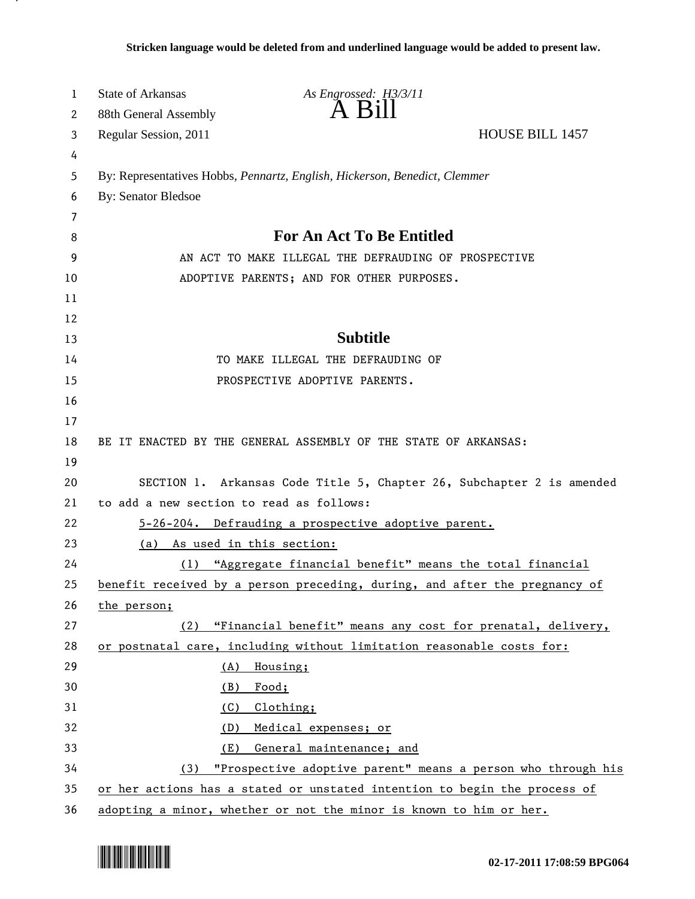| 1  | <b>State of Arkansas</b>                                                   | As Engrossed: H3/3/11                                                      |  |
|----|----------------------------------------------------------------------------|----------------------------------------------------------------------------|--|
| 2  | 88th General Assembly                                                      | $\overline{A}$ $\overline{B}$ 111                                          |  |
| 3  | Regular Session, 2011                                                      | <b>HOUSE BILL 1457</b>                                                     |  |
| 4  |                                                                            |                                                                            |  |
| 5  | By: Representatives Hobbs, Pennartz, English, Hickerson, Benedict, Clemmer |                                                                            |  |
| 6  | <b>By: Senator Bledsoe</b>                                                 |                                                                            |  |
| 7  |                                                                            |                                                                            |  |
| 8  |                                                                            | <b>For An Act To Be Entitled</b>                                           |  |
| 9  | AN ACT TO MAKE ILLEGAL THE DEFRAUDING OF PROSPECTIVE                       |                                                                            |  |
| 10 | ADOPTIVE PARENTS; AND FOR OTHER PURPOSES.                                  |                                                                            |  |
| 11 |                                                                            |                                                                            |  |
| 12 |                                                                            |                                                                            |  |
| 13 |                                                                            | <b>Subtitle</b>                                                            |  |
| 14 |                                                                            | TO MAKE ILLEGAL THE DEFRAUDING OF                                          |  |
| 15 |                                                                            | PROSPECTIVE ADOPTIVE PARENTS.                                              |  |
| 16 |                                                                            |                                                                            |  |
| 17 |                                                                            |                                                                            |  |
| 18 |                                                                            | BE IT ENACTED BY THE GENERAL ASSEMBLY OF THE STATE OF ARKANSAS:            |  |
| 19 |                                                                            |                                                                            |  |
| 20 | SECTION 1. Arkansas Code Title 5, Chapter 26, Subchapter 2 is amended      |                                                                            |  |
| 21 | to add a new section to read as follows:                                   |                                                                            |  |
| 22 |                                                                            | 5-26-204. Defrauding a prospective adoptive parent.                        |  |
| 23 | (a)                                                                        | As used in this section:                                                   |  |
| 24 |                                                                            | (1) "Aggregate financial benefit" means the total financial                |  |
| 25 |                                                                            | benefit received by a person preceding, during, and after the pregnancy of |  |
| 26 | the person;                                                                |                                                                            |  |
| 27 | (2)                                                                        | "Financial benefit" means any cost for prenatal, delivery,                 |  |
| 28 |                                                                            | or postnatal care, including without limitation reasonable costs for:      |  |
| 29 | (A)                                                                        | Housing;                                                                   |  |
| 30 | (B)                                                                        | Food;                                                                      |  |
| 31 | (C)                                                                        | Clothing;                                                                  |  |
| 32 | (D)                                                                        | Medical expenses; or                                                       |  |
| 33 | General maintenance; and<br>(E)                                            |                                                                            |  |
| 34 | (3) "Prospective adoptive parent" means a person who through his           |                                                                            |  |
| 35 | or her actions has a stated or unstated intention to begin the process of  |                                                                            |  |
| 36 | adopting a minor, whether or not the minor is known to him or her.         |                                                                            |  |



.